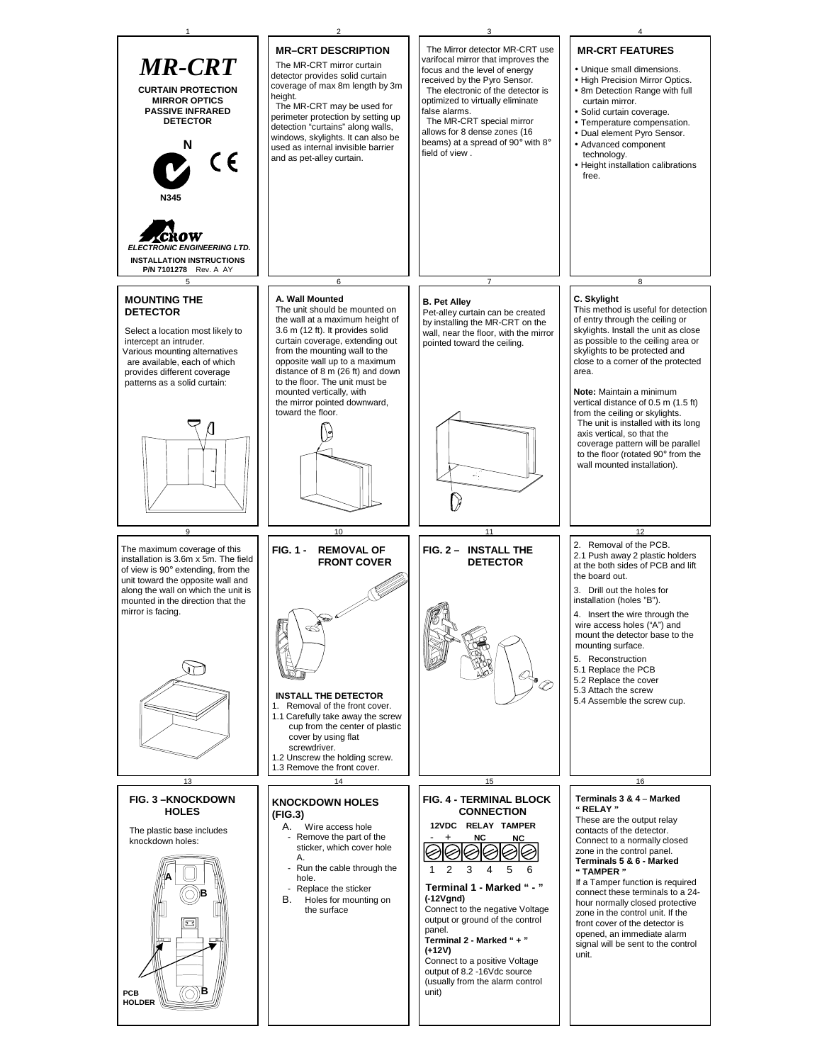